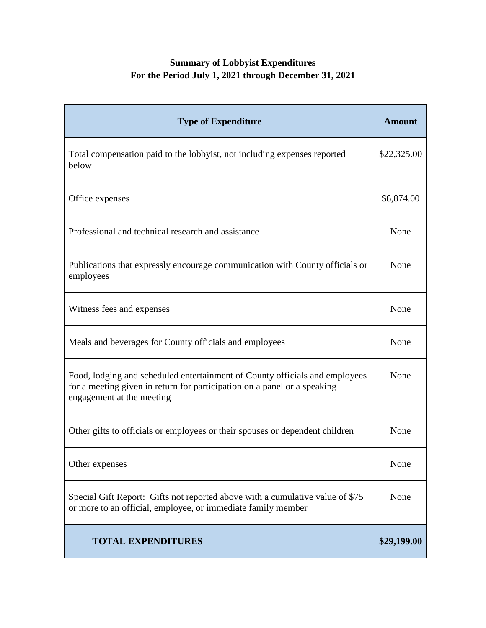## **Summary of Lobbyist Expenditures For the Period July 1, 2021 through December 31, 2021**

| <b>Type of Expenditure</b>                                                                                                                                                           | <b>Amount</b> |
|--------------------------------------------------------------------------------------------------------------------------------------------------------------------------------------|---------------|
| Total compensation paid to the lobbyist, not including expenses reported<br>below                                                                                                    | \$22,325.00   |
| Office expenses                                                                                                                                                                      | \$6,874.00    |
| Professional and technical research and assistance                                                                                                                                   | None          |
| Publications that expressly encourage communication with County officials or<br>employees                                                                                            | None          |
| Witness fees and expenses                                                                                                                                                            | None          |
| Meals and beverages for County officials and employees                                                                                                                               | None          |
| Food, lodging and scheduled entertainment of County officials and employees<br>for a meeting given in return for participation on a panel or a speaking<br>engagement at the meeting | None          |
| Other gifts to officials or employees or their spouses or dependent children                                                                                                         | None          |
| Other expenses                                                                                                                                                                       | None          |
| Special Gift Report: Gifts not reported above with a cumulative value of \$75<br>or more to an official, employee, or immediate family member                                        | None          |
| <b>TOTAL EXPENDITURES</b>                                                                                                                                                            | \$29,199.00   |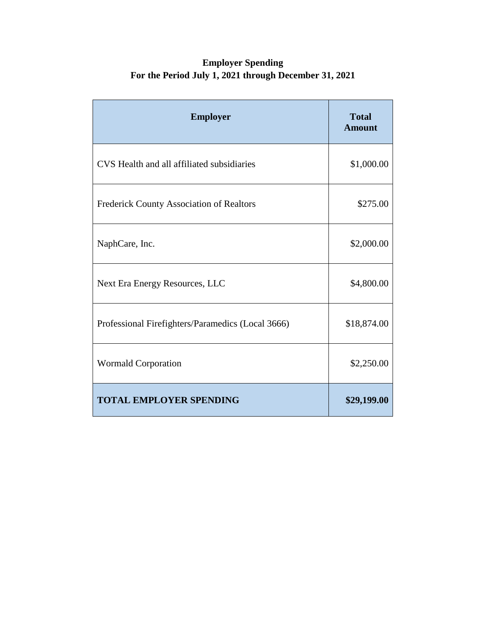## **Employer Spending For the Period July 1, 2021 through December 31, 2021**

| <b>Employer</b>                                   | <b>Total</b><br><b>Amount</b> |
|---------------------------------------------------|-------------------------------|
| CVS Health and all affiliated subsidiaries        | \$1,000.00                    |
| Frederick County Association of Realtors          | \$275.00                      |
| NaphCare, Inc.                                    | \$2,000.00                    |
| Next Era Energy Resources, LLC                    | \$4,800.00                    |
| Professional Firefighters/Paramedics (Local 3666) | \$18,874.00                   |
| <b>Wormald Corporation</b>                        | \$2,250.00                    |
| <b>TOTAL EMPLOYER SPENDING</b>                    | \$29,199.00                   |